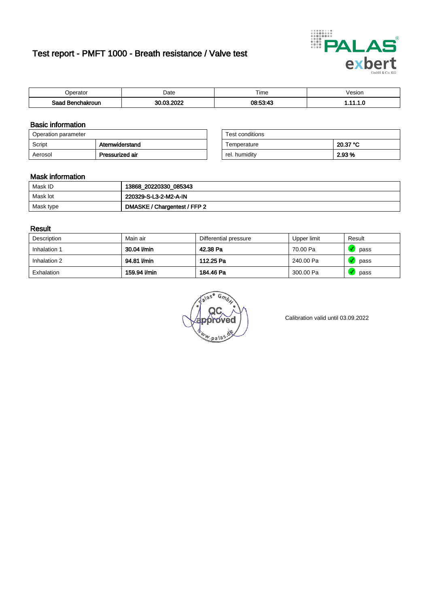# Test report - PMFT 1000 - Breath resistance / Valve test



| <b>Poerator</b>                | Date                     | $- \cdot$<br><b>Time</b> | /esion |
|--------------------------------|--------------------------|--------------------------|--------|
| Saad<br><b>chakroun</b><br>. . | 0000<br>$\sim$<br>$\sim$ | 08:53:43                 | .      |

### Basic information

| Operation parameter |                 | Test conditions |          |
|---------------------|-----------------|-----------------|----------|
| Script              | Atemwiderstand  | Temperature     | 20.37 °C |
| Aerosol             | Pressurized air | rel. humidity   | 2.93 %   |

| Test conditions |          |
|-----------------|----------|
| Temperature     | 20.37 °C |
| rel. humidity   | 2.93 %   |

#### Mask information

| Mask ID   | 13868_20220330_085343        |
|-----------|------------------------------|
| Mask lot  | 220329-S-L3-2-M2-A-IN        |
| Mask type | DMASKE / Chargentest / FFP 2 |

### Result

| Description  | Main air     | Differential pressure | Upper limit | Result |
|--------------|--------------|-----------------------|-------------|--------|
| Inhalation 1 | 30.04 l/min  | 42.38 Pa              | 70.00 Pa    | pass   |
| Inhalation 2 | 94.81 l/min  | 112.25 Pa             | 240.00 Pa   | pass   |
| Exhalation   | 159.94 l/min | 184.46 Pa             | 300.00 Pa   | pass   |

w.pala

Calibration valid until 03.09.2022